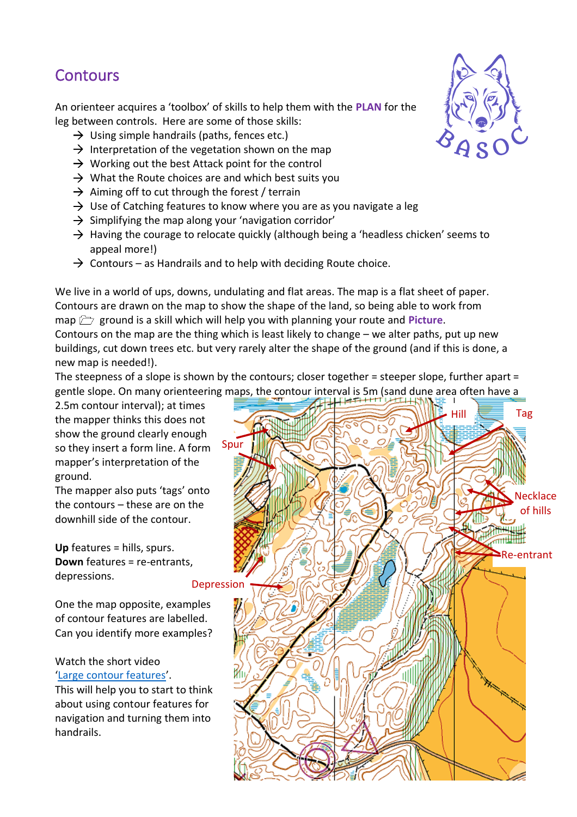## **Contours**

An orienteer acquires a 'toolbox' of skills to help them with the **PLAN** for the leg between controls. Here are some of those skills:

- $\rightarrow$  Using simple handrails (paths, fences etc.)
- $\rightarrow$  Interpretation of the vegetation shown on the map
- $\rightarrow$  Working out the best Attack point for the control
- $\rightarrow$  What the Route choices are and which best suits you
- $\rightarrow$  Aiming off to cut through the forest / terrain
- $\rightarrow$  Use of Catching features to know where you are as you navigate a leg
- $\rightarrow$  Simplifying the map along your 'navigation corridor'
- $\rightarrow$  Having the courage to relocate quickly (although being a 'headless chicken' seems to appeal more!)
- $\rightarrow$  Contours as Handrails and to help with deciding Route choice.

We live in a world of ups, downs, undulating and flat areas. The map is a flat sheet of paper. Contours are drawn on the map to show the shape of the land, so being able to work from map  $\Box$  ground is a skill which will help you with planning your route and **Picture**. Contours on the map are the thing which is least likely to change – we alter paths, put up new buildings, cut down trees etc. but very rarely alter the shape of the ground (and if this is done, a new map is needed!).

The steepness of a slope is shown by the contours; closer together = steeper slope, further apart = gentle slope. On many orienteering maps, the contour interval is 5m (sand dune area often have a

2.5m contour interval); at times the mapper thinks this does not show the ground clearly enough so they insert a form line. A form mapper's interpretation of the ground.

The mapper also puts 'tags' onto the contours – these are on the downhill side of the contour.

**Up** features = hills, spurs. **Down** features = re-entrants, depressions.

One the map opposite, examples of contour features are labelled. Can you identify more examples?

Watch the short video '[Large contour features](https://www.youtube.com/watch?v=0uyVXf-mTAY&list=PLwQxj0iau_RfjWcf_sX-TgM2yIwbpWO2v&index=10)'.

This will help you to start to think about using contour features for navigation and turning them into handrails.